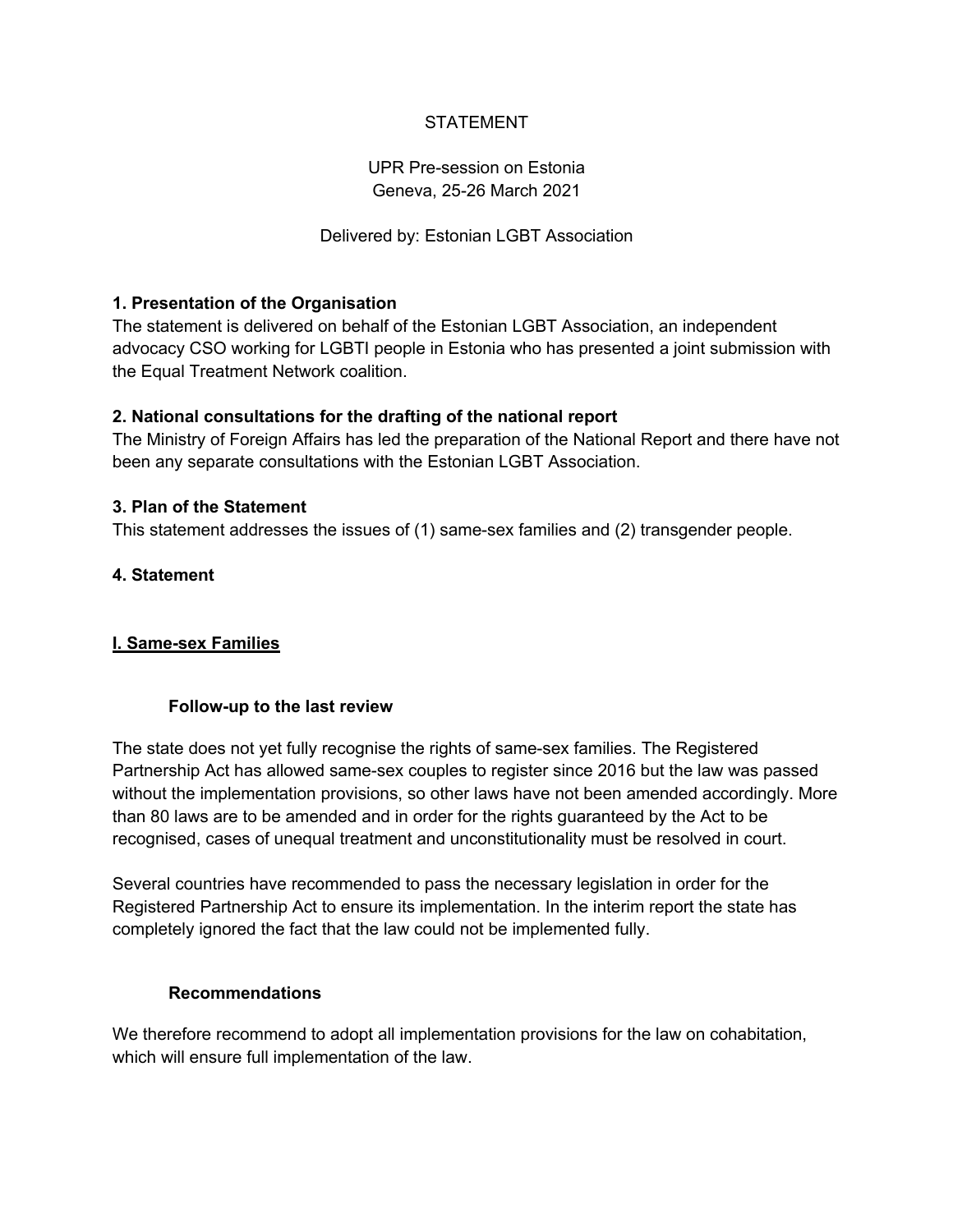# **STATEMENT**

# UPR Pre-session on Estonia Geneva, 25-26 March 2021

# Delivered by: Estonian LGBT Association

## **1. Presentation of the Organisation**

The statement is delivered on behalf of the Estonian LGBT Association, an independent advocacy CSO working for LGBTI people in Estonia who has presented a joint submission with the Equal Treatment Network coalition.

### **2. National consultations for the drafting of the national report**

The Ministry of Foreign Affairs has led the preparation of the National Report and there have not been any separate consultations with the Estonian LGBT Association.

## **3. Plan of the Statement**

This statement addresses the issues of (1) same-sex families and (2) transgender people.

### **4. Statement**

# **I. Same-sex Families**

#### **Follow-up to the last review**

The state does not yet fully recognise the rights of same-sex families. The Registered Partnership Act has allowed same-sex couples to register since 2016 but the law was passed without the implementation provisions, so other laws have not been amended accordingly. More than 80 laws are to be amended and in order for the rights guaranteed by the Act to be recognised, cases of unequal treatment and unconstitutionality must be resolved in court.

Several countries have recommended to pass the necessary legislation in order for the Registered Partnership Act to ensure its implementation. In the interim report the state has completely ignored the fact that the law could not be implemented fully.

### **Recommendations**

We therefore recommend to adopt all implementation provisions for the law on cohabitation, which will ensure full implementation of the law.